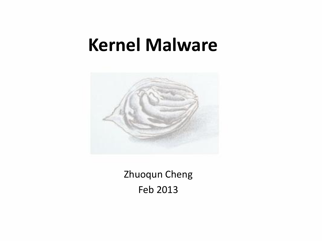#### **Kernel Malware**



Zhuoqun Cheng Feb 2013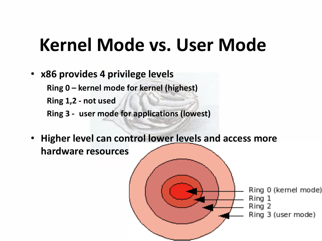## **Kernel Mode vs. User Mode**

• **x86 provides 4 privilege levels**

**Ring 0 – kernel mode for kernel (highest)**

 **Ring 1,2 - not used**

- **Ring 3 - user mode for applications (lowest)**
- **Higher level can control lower levels and access more hardware resources**

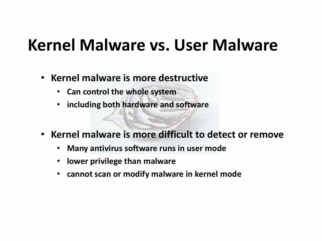#### **Kernel Malware vs. User Malware**

- **Kernel malware is more destructive**
	- **Can control the whole system**
	- **including both hardware and software**
- **Kernel malware is more difficult to detect or remove**
	- **Many antivirus software runs in user mode**
	- **lower privilege than malware**
	- **cannot scan or modify malware in kernel mode**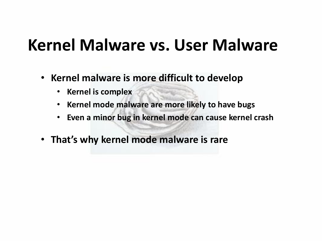#### **Kernel Malware vs. User Malware**

- **Kernel malware is more difficult to develop**
	- **Kernel is complex**
	- **Kernel mode malware are more likely to have bugs**
	- **Even a minor bug in kernel mode can cause kernel crash**
- **That's why kernel mode malware is rare**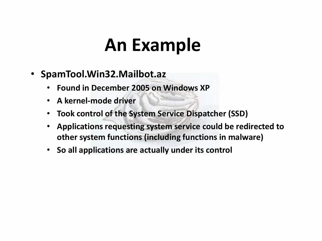## **An Example**

- **SpamTool.Win32.Mailbot.az**
	- **Found in December 2005 on Windows XP**
	- **A kernel-mode driver**
	- **Took control of the System Service Dispatcher (SSD)**
	- **Applications requesting system service could be redirected to other system functions (including functions in malware)**
	- **So all applications are actually under its control**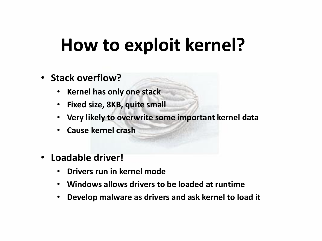## **How to exploit kernel?**

#### • **Stack overflow?**

- **Kernel has only one stack**
- **Fixed size, 8KB, quite small**
- **Very likely to overwrite some important kernel data**
- **Cause kernel crash**
- **Loadable driver!**
	- **Drivers run in kernel mode**
	- **Windows allows drivers to be loaded at runtime**
	- **Develop malware as drivers and ask kernel to load it**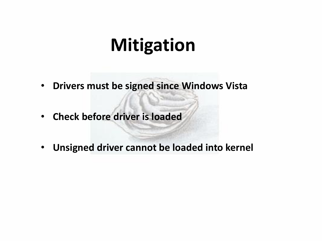#### **Mitigation**

- **Drivers must be signed since Windows Vista**
- **Check before driver is loaded**
- **Unsigned driver cannot be loaded into kernel**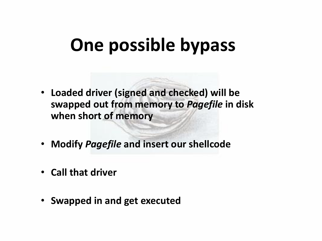## **One possible bypass**

- **Loaded driver (signed and checked) will be swapped out from memory to** *Pagefile* **in disk when short of memory**
- **Modify** *Pagefile* **and insert our shellcode**
- **Call that driver**
- **Swapped in and get executed**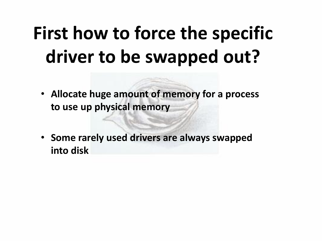# **First how to force the specific driver to be swapped out?**

- **Allocate huge amount of memory for a process to use up physical memory**
- **Some rarely used drivers are always swapped into disk**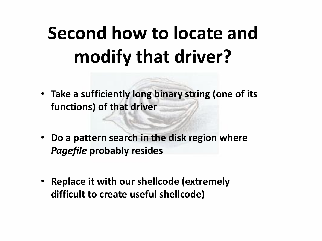# **Second how to locate and modify that driver?**

- **Take a sufficiently long binary string (one of its functions) of that driver**
- **Do a pattern search in the disk region where**  *Pagefile* **probably resides**
- **Replace it with our shellcode (extremely difficult to create useful shellcode)**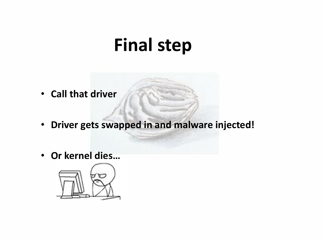#### **Final step**

- **Call that driver**
- **Driver gets swapped in and malware injected!**
- **Or kernel dies…**

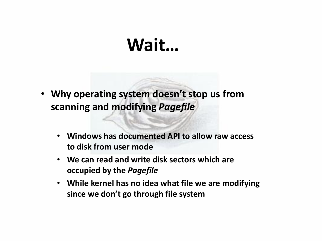#### **Wait…**

- **Why operating system doesn't stop us from scanning and modifying** *Pagefile*
	- **Windows has documented API to allow raw access to disk from user mode**
	- **We can read and write disk sectors which are occupied by the** *Pagefile*
	- **While kernel has no idea what file we are modifying since we don't go through file system**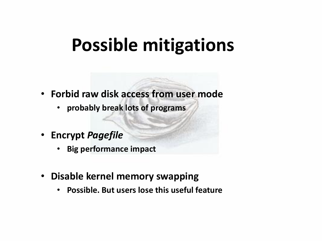#### **Possible mitigations**

- **Forbid raw disk access from user mode**
	- **probably break lots of programs**
- **Encrypt** *Pagefile*
	- **Big performance impact**
- **Disable kernel memory swapping**
	- **Possible. But users lose this useful feature**